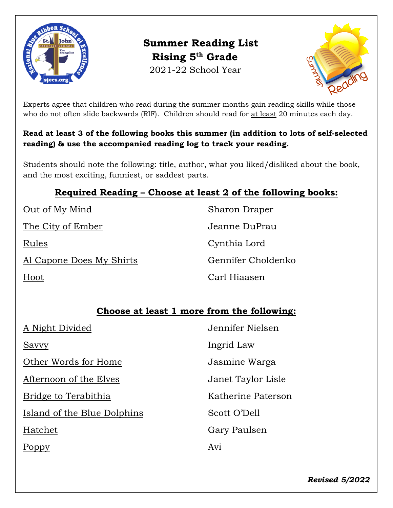

**Summer Reading List Rising 5th Grade** 2021-22 School Year



Experts agree that children who read during the summer months gain reading skills while those who do not often slide backwards (RIF). Children should read for at least 20 minutes each day.

### **Read at least 3 of the following books this summer (in addition to lots of self-selected reading) & use the accompanied reading log to track your reading.**

Students should note the following: title, author, what you liked/disliked about the book, and the most exciting, funniest, or saddest parts.

## **Required Reading – Choose at least 2 of the following books:**

The City of Ember Jeanne DuPrau

Al Capone Does My Shirts Gennifer Choldenko

Out of My Mind Sharon Draper Rules Cynthia Lord Hoot Carl Hiaasen

## **Choose at least 1 more from the following:**

| A Night Divided             | Jennifer Nielsen   |
|-----------------------------|--------------------|
| Savvy                       | Ingrid Law         |
| Other Words for Home        | Jasmine Warga      |
| Afternoon of the Elves      | Janet Taylor Lisle |
| Bridge to Terabithia        | Katherine Paterson |
| Island of the Blue Dolphins | Scott O'Dell       |
| Hatchet                     | Gary Paulsen       |
|                             | Avi                |